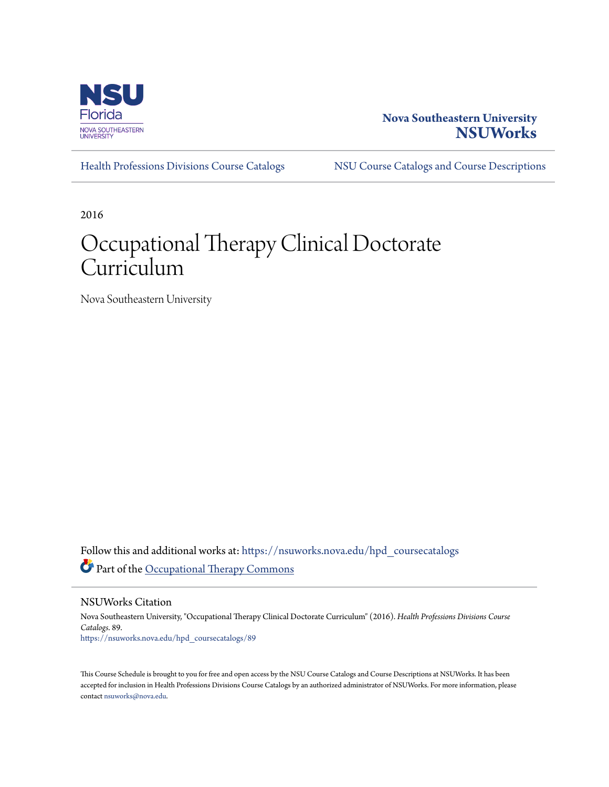

## **Nova Southeastern University [NSUWorks](https://nsuworks.nova.edu?utm_source=nsuworks.nova.edu%2Fhpd_coursecatalogs%2F89&utm_medium=PDF&utm_campaign=PDFCoverPages)**

[Health Professions Divisions Course Catalogs](https://nsuworks.nova.edu/hpd_coursecatalogs?utm_source=nsuworks.nova.edu%2Fhpd_coursecatalogs%2F89&utm_medium=PDF&utm_campaign=PDFCoverPages) [NSU Course Catalogs and Course Descriptions](https://nsuworks.nova.edu/nsu_catalogs?utm_source=nsuworks.nova.edu%2Fhpd_coursecatalogs%2F89&utm_medium=PDF&utm_campaign=PDFCoverPages)

2016

## Occupational Therapy Clinical Doctorate Curriculum

Nova Southeastern University

Follow this and additional works at: [https://nsuworks.nova.edu/hpd\\_coursecatalogs](https://nsuworks.nova.edu/hpd_coursecatalogs?utm_source=nsuworks.nova.edu%2Fhpd_coursecatalogs%2F89&utm_medium=PDF&utm_campaign=PDFCoverPages) Part of the [Occupational Therapy Commons](http://network.bepress.com/hgg/discipline/752?utm_source=nsuworks.nova.edu%2Fhpd_coursecatalogs%2F89&utm_medium=PDF&utm_campaign=PDFCoverPages)

NSUWorks Citation

Nova Southeastern University, "Occupational Therapy Clinical Doctorate Curriculum" (2016). *Health Professions Divisions Course Catalogs*. 89. [https://nsuworks.nova.edu/hpd\\_coursecatalogs/89](https://nsuworks.nova.edu/hpd_coursecatalogs/89?utm_source=nsuworks.nova.edu%2Fhpd_coursecatalogs%2F89&utm_medium=PDF&utm_campaign=PDFCoverPages)

This Course Schedule is brought to you for free and open access by the NSU Course Catalogs and Course Descriptions at NSUWorks. It has been accepted for inclusion in Health Professions Divisions Course Catalogs by an authorized administrator of NSUWorks. For more information, please contact [nsuworks@nova.edu](mailto:nsuworks@nova.edu).